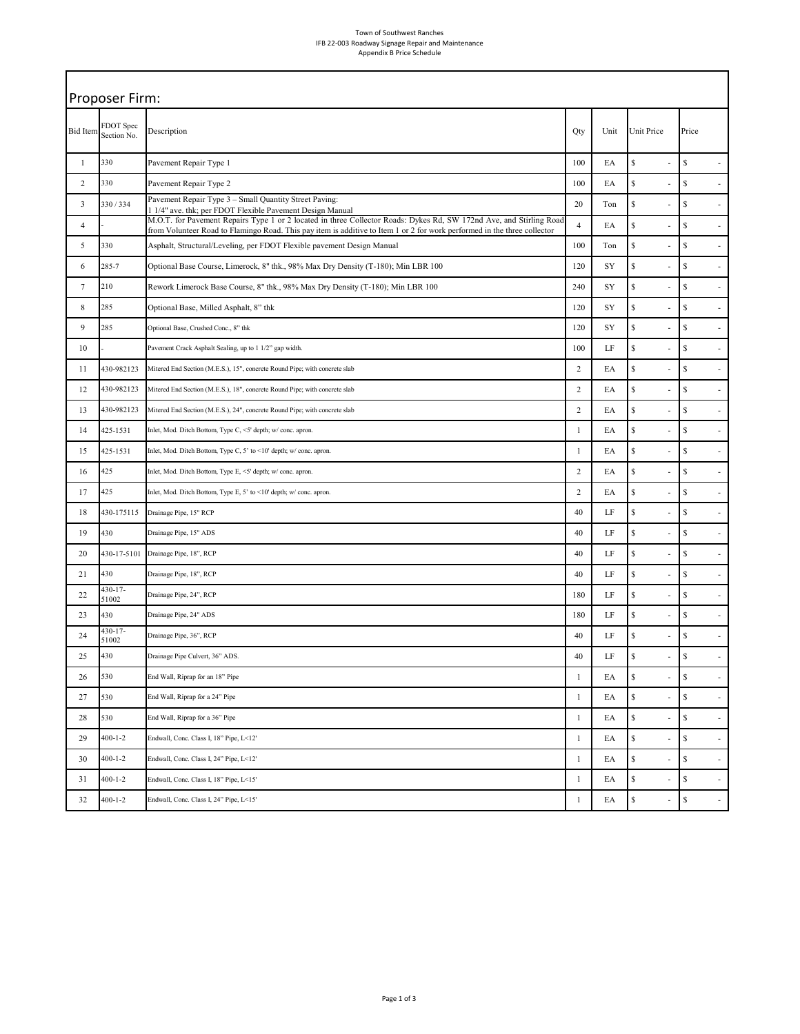## Town of Southwest Ranches IFB 22-003 Roadway Signage Repair and Maintenance Appendix B Price Schedule

| Proposer Firm:  |                          |                                                                                                                                                                                                                                                 |                |      |                     |                                          |  |
|-----------------|--------------------------|-------------------------------------------------------------------------------------------------------------------------------------------------------------------------------------------------------------------------------------------------|----------------|------|---------------------|------------------------------------------|--|
| <b>Bid Item</b> | FDOT Spec<br>Section No. | Description                                                                                                                                                                                                                                     | Qty            | Unit | Unit Price          | Price                                    |  |
| $\mathbf{1}$    | 330                      | Pavement Repair Type 1                                                                                                                                                                                                                          | 100            | EA   | $\mathsf{\$}$<br>Ĭ. | $\mathbb{S}$<br>$\overline{\phantom{a}}$ |  |
| $\sqrt{2}$      | 330                      | Pavement Repair Type 2                                                                                                                                                                                                                          | 100            | EA   | \$                  | $\mathbb{S}$<br>$\overline{\phantom{a}}$ |  |
| 3               | 330/334                  | Pavement Repair Type 3 - Small Quantity Street Paving:<br>1 1/4" ave. thk; per FDOT Flexible Pavement Design Manual                                                                                                                             | 20             | Ton  | $\mathsf{\$}$       | $\mathbb{S}$<br>L,                       |  |
| $\overline{4}$  |                          | M.O.T. for Pavement Repairs Type 1 or 2 located in three Collector Roads: Dykes Rd, SW 172nd Ave, and Stirling Road<br>from Volunteer Road to Flamingo Road. This pay item is additive to Item 1 or 2 for work performed in the three collector | $\overline{4}$ | EA   | \$                  | $\mathbb{S}$<br>ä,                       |  |
| 5               | 330                      | Asphalt, Structural/Leveling, per FDOT Flexible pavement Design Manual                                                                                                                                                                          | 100            | Ton  | \$                  | $\mathbb{S}$<br>÷,                       |  |
| 6               | 285-7                    | Optional Base Course, Limerock, 8" thk., 98% Max Dry Density (T-180); Min LBR 100                                                                                                                                                               | 120            | SY   | \$                  | $\mathbb{S}$<br>J.                       |  |
| $7\phantom{.0}$ | 210                      | Rework Limerock Base Course, 8" thk., 98% Max Dry Density (T-180); Min LBR 100                                                                                                                                                                  | 240            | SY   | \$                  | $\mathbb{S}$<br>$\overline{a}$           |  |
| $\,$ 8 $\,$     | 285                      | Optional Base, Milled Asphalt, 8" thk                                                                                                                                                                                                           | 120            | SY   | \$                  | $\mathbb{S}$<br>$\overline{\phantom{a}}$ |  |
| 9               | 285                      | Optional Base, Crushed Conc., 8" thk                                                                                                                                                                                                            | 120            | SY   | $\mathsf{\$}$       | $\mathbb{S}$<br>L,                       |  |
| 10              |                          | Pavement Crack Asphalt Sealing, up to 1 1/2" gap width.                                                                                                                                                                                         | 100            | LF   | \$                  | $\mathbb{S}$<br>ä,                       |  |
| 11              | 430-982123               | Mitered End Section (M.E.S.), 15", concrete Round Pipe; with concrete slab                                                                                                                                                                      | $\overline{2}$ | EA   | \$                  | $\mathbb{S}$<br>÷,                       |  |
| 12              | 430-982123               | Mitered End Section (M.E.S.), 18", concrete Round Pipe; with concrete slab                                                                                                                                                                      | $\overline{2}$ | EA   | \$                  | $\mathbb{S}$<br>$\overline{\phantom{a}}$ |  |
| 13              | 430-982123               | Mitered End Section (M.E.S.), 24", concrete Round Pipe; with concrete slab                                                                                                                                                                      | $\overline{2}$ | EA   | \$                  | $\mathbb{S}$<br>ä,                       |  |
| 14              | 425-1531                 | Inlet, Mod. Ditch Bottom, Type C, <5' depth; w/ conc. apron.                                                                                                                                                                                    | $\mathbf{1}$   | EA   | \$                  | $\mathbb{S}$<br>$\overline{\phantom{a}}$ |  |
| 15              | 425-1531                 | Inlet, Mod. Ditch Bottom, Type C, 5' to <10' depth; w/ conc. apron.                                                                                                                                                                             | $\mathbf{1}$   | EA   | \$                  | $\mathbb{S}$<br>÷,                       |  |
| 16              | 425                      | Inlet, Mod. Ditch Bottom, Type E, <5' depth; w/ conc. apron.                                                                                                                                                                                    | $\overline{2}$ | EA   | \$                  | $\mathbb{S}$<br>$\overline{\phantom{a}}$ |  |
| 17              | 425                      | Inlet, Mod. Ditch Bottom, Type E, 5' to <10' depth; w/ conc. apron.                                                                                                                                                                             | $\overline{2}$ | EA   | \$                  | $\mathbb{S}$<br>L,                       |  |
| 18              | 430-175115               | Drainage Pipe, 15" RCP                                                                                                                                                                                                                          | 40             | LF   | \$                  | $\mathbb{S}$<br>$\overline{\phantom{a}}$ |  |
| 19              | 430                      | Drainage Pipe, 15" ADS                                                                                                                                                                                                                          | 40             | LF   | \$                  | \$<br>÷,                                 |  |
| 20              | 430-17-5101              | Drainage Pipe, 18", RCP                                                                                                                                                                                                                         | 40             | LF   | \$                  | $\mathbb{S}$<br>$\overline{\phantom{a}}$ |  |
| 21              | 430                      | Drainage Pipe, 18", RCP                                                                                                                                                                                                                         | 40             | LF   | \$                  | $\mathbb{S}$<br>$\overline{\phantom{a}}$ |  |
| 22              | $430 - 17$<br>51002      | Drainage Pipe, 24", RCP                                                                                                                                                                                                                         | 180            | LF   | \$                  | $\mathbb{S}$<br>J.                       |  |
| 23              | 430                      | Drainage Pipe, 24" ADS                                                                                                                                                                                                                          | 180            | LF   | \$                  | $\mathbb{S}$<br>$\overline{\phantom{a}}$ |  |
| 24              | $430 - 17$<br>51002      | Drainage Pipe, 36", RCP                                                                                                                                                                                                                         | 40             | LF   | \$                  | $\mathbb{S}$                             |  |
| 25              | 430                      | Drainage Pipe Culvert, 36" ADS.                                                                                                                                                                                                                 | 40             | LF   | ¢<br>Φ              | \$                                       |  |
| 26              | 530                      | End Wall, Riprap for an 18" Pipe                                                                                                                                                                                                                | $\mathbf{1}$   | EA   | \$                  | $\mathbb{S}$<br>$\overline{\phantom{a}}$ |  |
| 27              | 530                      | End Wall, Riprap for a 24" Pipe                                                                                                                                                                                                                 | $\mathbf{1}$   | EA   | \$                  | $\mathbb{S}$<br>$\overline{\phantom{a}}$ |  |
| 28              | 530                      | End Wall, Riprap for a 36" Pipe                                                                                                                                                                                                                 | $\mathbf{1}$   | EA   | $\mathbb{S}$        | $\mathbb{S}$                             |  |
| 29              | $400 - 1 - 2$            | Endwall, Conc. Class I, 18" Pipe, L<12'                                                                                                                                                                                                         | $\mathbf{1}$   | EA   | \$<br>÷,            | $\mathbb{S}$<br>$\overline{\phantom{a}}$ |  |
| 30              | $400 - 1 - 2$            | Endwall, Conc. Class I, 24" Pipe, L<12'                                                                                                                                                                                                         | $\mathbf{1}$   | EA   | $\mathbb{S}$        | $\mathbb{S}$<br>$\overline{\phantom{a}}$ |  |
| 31              | $400 - 1 - 2$            | Endwall, Conc. Class I, 18" Pipe, L<15'                                                                                                                                                                                                         | $\mathbf{1}$   | EA   | \$                  | $\mathbb{S}$<br>$\overline{\phantom{a}}$ |  |
| 32              | $400 - 1 - 2$            | Endwall, Conc. Class I, 24" Pipe, L<15'                                                                                                                                                                                                         | $\mathbf{1}$   | EA   | \$                  | $\mathbb{S}$<br>$\overline{\phantom{a}}$ |  |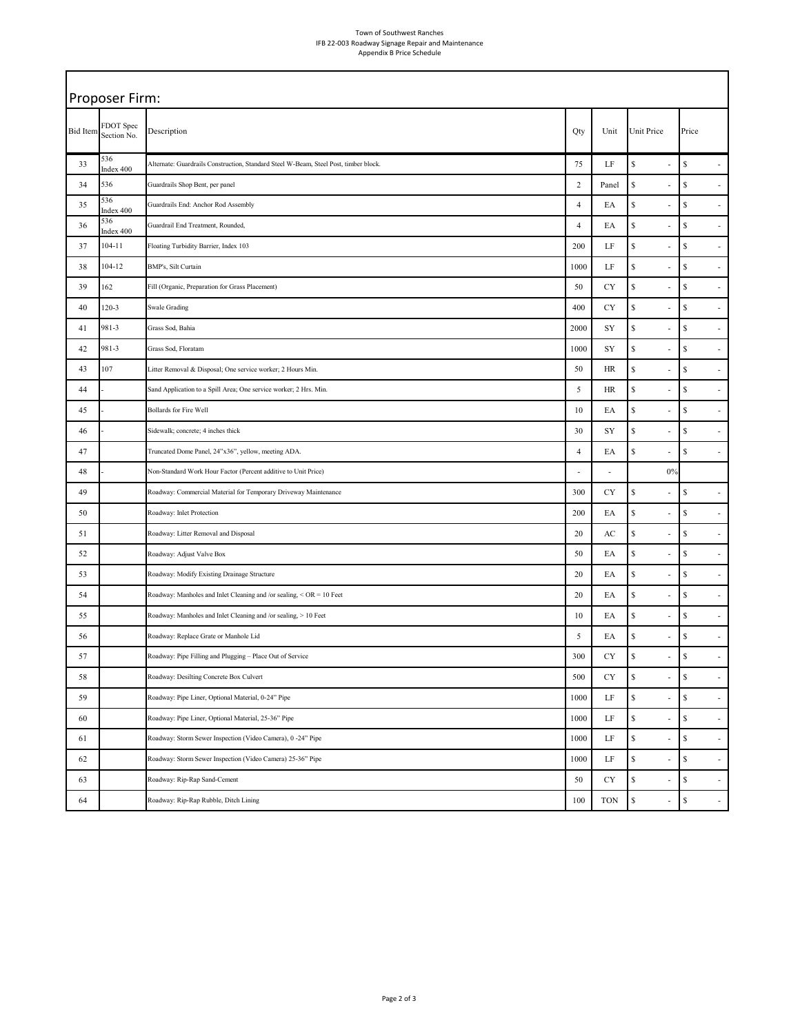## Town of Southwest Ranches IFB 22-003 Roadway Signage Repair and Maintenance Appendix B Price Schedule

| Proposer Firm:  |                          |                                                                                      |                |                        |                    |                                                                                                   |  |
|-----------------|--------------------------|--------------------------------------------------------------------------------------|----------------|------------------------|--------------------|---------------------------------------------------------------------------------------------------|--|
| <b>Bid Item</b> | FDOT Spec<br>Section No. | Description                                                                          | Qty            | Unit                   | Unit Price         | Price                                                                                             |  |
| 33              | 536<br>Index 400         | Alternate: Guardrails Construction, Standard Steel W-Beam, Steel Post, timber block. | 75             | LF                     | $\mathbb{S}$<br>L, | $\mathbb{S}$                                                                                      |  |
| 34              | 536                      | Guardrails Shop Bent, per panel                                                      | $\sqrt{2}$     | Panel                  | $\mathbb{S}$       | $\mathbb{S}$<br>ä,                                                                                |  |
| 35              | 536<br>Index 400         | Guardrails End: Anchor Rod Assembly                                                  | $\overline{4}$ | EA                     | \$                 | $\mathbb{S}$<br>$\overline{a}$                                                                    |  |
| 36              | 536<br>Index 400         | Guardrail End Treatment, Rounded,                                                    | $\overline{4}$ | EA                     | $\mathbb{S}$       | $\mathbb{S}% _{t}\left( t\right) \equiv\mathbb{S}_{t}\left( t\right)$<br>ä,                       |  |
| 37              | $104 - 11$               | Floating Turbidity Barrier, Index 103                                                | 200            | $\rm LF$               | \$                 | \$<br>$\overline{\phantom{a}}$                                                                    |  |
| 38              | 104-12                   | BMP's, Silt Curtain                                                                  | 1000           | LF                     | \$                 | $\mathbb{S}$<br>ä,                                                                                |  |
| 39              | 162                      | Fill (Organic, Preparation for Grass Placement)                                      | 50             | CY                     | $\mathbb{S}$       | $\mathbb{S}$<br>$\overline{\phantom{a}}$                                                          |  |
| 40              | 120-3                    | Swale Grading                                                                        | 400            | CY                     | $\mathbb{S}$       | \$<br>ä,                                                                                          |  |
| 41              | 981-3                    | Grass Sod, Bahia                                                                     | 2000           | SY                     | $\mathbb{S}$       | $\mathbb{S}$<br>$\blacksquare$                                                                    |  |
| 42              | 981-3                    | Grass Sod, Floratam                                                                  | 1000           | SY                     | \$                 | \$<br>$\overline{\phantom{a}}$                                                                    |  |
| 43              | 107                      | Litter Removal & Disposal; One service worker; 2 Hours Min.                          | 50             | HR                     | \$                 | $\mathbb{S}$<br>÷,                                                                                |  |
| 44              |                          | Sand Application to a Spill Area; One service worker; 2 Hrs. Min.                    | 5              | HR                     | $\mathbb{S}$       | $\mathbb{S}$<br>÷,                                                                                |  |
| 45              |                          | <b>Bollards for Fire Well</b>                                                        | 10             | EA                     | \$<br>٠            | \$<br>$\overline{\phantom{a}}$                                                                    |  |
| 46              |                          | Sidewalk; concrete; 4 inches thick                                                   | 30             | SY                     | \$                 | $\mathbb{S}% _{t}\left( t\right) \equiv\mathbb{S}_{t}\left( t\right)$<br>J.                       |  |
| 47              |                          | Truncated Dome Panel, 24"x36", yellow, meeting ADA.                                  | $\overline{4}$ | EA                     | $\mathbb{S}$       | $\mathbb{S}$<br>$\overline{\phantom{a}}$                                                          |  |
| 48              |                          | Non-Standard Work Hour Factor (Percent additive to Unit Price)                       |                |                        | 0%                 |                                                                                                   |  |
| 49              |                          | Roadway: Commercial Material for Temporary Driveway Maintenance                      | 300            | CY                     | $\mathbb{S}$<br>÷  | $\mathbb{S}% _{t}\left( t\right) \equiv\mathbb{S}_{t}\left( t\right)$<br>$\overline{\phantom{a}}$ |  |
| 50              |                          | Roadway: Inlet Protection                                                            | 200            | EA                     | \$                 | \$<br>$\overline{\phantom{a}}$                                                                    |  |
| 51              |                          | Roadway: Litter Removal and Disposal                                                 | 20             | $\mathbf{A}\mathbf{C}$ | $\mathbb{S}$       | $\mathbb{S}$<br>$\overline{a}$                                                                    |  |
| 52              |                          | Roadway: Adjust Valve Box                                                            | 50             | EA                     | $\mathbb{S}$       | $\mathbb{S}$<br>$\overline{\phantom{a}}$                                                          |  |
| 53              |                          | Roadway: Modify Existing Drainage Structure                                          | 20             | EA                     | \$                 | \$<br>$\overline{\phantom{a}}$                                                                    |  |
| 54              |                          | Roadway: Manholes and Inlet Cleaning and /or sealing, < OR = 10 Feet                 | 20             | ЕA                     | $\mathbb{S}$       | $\mathbb{S}$<br>L,                                                                                |  |
| 55              |                          | Roadway: Manholes and Inlet Cleaning and /or sealing, > 10 Feet                      | 10             | EA                     | $\mathbb{S}$       | $\mathbb{S}$<br>$\overline{\phantom{a}}$                                                          |  |
| 56              |                          | Roadway: Replace Grate or Manhole Lid                                                | 5              | EA                     | \$                 | $\mathbb{S}$<br>÷,                                                                                |  |
| 57              |                          | Roadway: Pipe Filling and Plugging - Place Out of Service                            | 300            | <b>CY</b>              | \$                 | \$                                                                                                |  |
| 58              |                          | Roadway: Desilting Concrete Box Culvert                                              | 500            | CY                     | \$                 | $\mathbb{S}$<br>$\overline{\phantom{a}}$                                                          |  |
| 59              |                          | Roadway: Pipe Liner, Optional Material, 0-24" Pipe                                   | 1000           | $\rm LF$               | $\mathbb{S}$       | $\mathbb{S}$<br>$\overline{\phantom{a}}$                                                          |  |
| 60              |                          | Roadway: Pipe Liner, Optional Material, 25-36" Pipe                                  | 1000           | $\rm LF$               | $\mathbb{S}$       | $\mathbb{S}$<br>÷,                                                                                |  |
| 61              |                          | Roadway: Storm Sewer Inspection (Video Camera), 0 -24" Pipe                          | 1000           | $\rm LF$               | $\mathbb{S}$<br>÷  | $\mathbb{S}$<br>$\overline{\phantom{a}}$                                                          |  |
| 62              |                          | Roadway: Storm Sewer Inspection (Video Camera) 25-36" Pipe                           | 1000           | LF                     | $\mathbb{S}$       | $\mathbb{S}$<br>$\blacksquare$                                                                    |  |
| 63              |                          | Roadway: Rip-Rap Sand-Cement                                                         | 50             | CY                     | \$                 | $\mathbb{S}$<br>$\overline{\phantom{a}}$                                                          |  |
| 64              |                          | Roadway: Rip-Rap Rubble, Ditch Lining                                                | 100            | <b>TON</b>             | $\mathbb{S}$       | $\mathbb{S}$<br>$\overline{\phantom{a}}$                                                          |  |